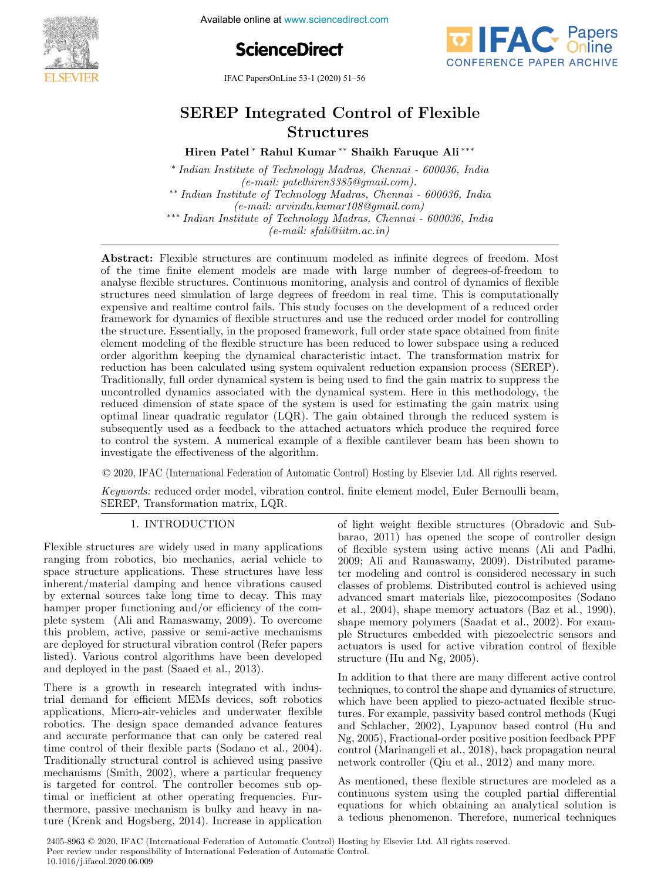

Available online at www.sciencedirect.com





IFAC PapersOnLine 53-1 (2020) 51–56

# SEREP Integrated Control of Flexible Structures

Hiren Patel <sup>∗</sup> Rahul Kumar ∗∗ Shaikh Faruque Ali ∗∗∗

∗ Indian Institute of Technology Madras, Chennai - 600036, India (e-mail: patelhiren3385@gmail.com). ∗∗ Indian Institute of Technology Madras, Chennai - 600036, India (e-mail: arvindu.kumar108@gmail.com) ∗∗∗ Indian Institute of Technology Madras, Chennai - 600036, India  $(e-mail: sfali@iitm.ac.in)$ 

Abstract: Flexible structures are continuum modeled as infinite degrees of freedom. Most of the time finite element models are made with large number of degrees-of-freedom to analyse flexible structures. Continuous monitoring, analysis and control of dynamics of flexible structures need simulation of large degrees of freedom in real time. This is computationally expensive and realtime control fails. This study focuses on the development of a reduced order framework for dynamics of flexible structures and use the reduced order model for controlling the structure. Essentially, in the proposed framework, full order state space obtained from finite element modeling of the flexible structure has been reduced to lower subspace using a reduced order algorithm keeping the dynamical characteristic intact. The transformation matrix for reduction has been calculated using system equivalent reduction expansion process (SEREP). Traditionally, full order dynamical system is being used to find the gain matrix to suppress the uncontrolled dynamics associated with the dynamical system. Here in this methodology, the reduced dimension of state space of the system is used for estimating the gain matrix using optimal linear quadratic regulator (LQR). The gain obtained through the reduced system is subsequently used as a feedback to the attached actuators which produce the required force to control the system. A numerical example of a flexible cantilever beam has been shown to investigate the effectiveness of the algorithm.

© 2020, IFAC (International Federation of Automatic Control) Hosting by Elsevier Ltd. All rights reserved.

Keywords: reduced order model, vibration control, finite element model, Euler Bernoulli beam, SEREP, Transformation matrix, LQR.

## 1. INTRODUCTION

Flexible structures are widely used in many applications ranging from robotics, bio mechanics, aerial vehicle to space structure applications. These structures have less inherent/material damping and hence vibrations caused by external sources take long time to decay. This may hamper proper functioning and/or efficiency of the complete system (Ali and Ramaswamy, 2009). To overcome this problem, active, passive or semi-active mechanisms are deployed for structural vibration control (Refer papers listed). Various control algorithms have been developed and deployed in the past (Saaed et al., 2013).

There is a growth in research integrated with industrial demand for efficient MEMs devices, soft robotics applications, Micro-air-vehicles and underwater flexible robotics. The design space demanded advance features and accurate performance that can only be catered real time control of their flexible parts (Sodano et al., 2004). Traditionally structural control is achieved using passive mechanisms (Smith, 2002), where a particular frequency is targeted for control. The controller becomes sub optimal or inefficient at other operating frequencies. Furthermore, passive mechanism is bulky and heavy in nature (Krenk and Hogsberg, 2014). Increase in application of light weight flexible structures (Obradovic and Subbarao, 2011) has opened the scope of controller design of flexible system using active means (Ali and Padhi, 2009; Ali and Ramaswamy, 2009). Distributed parameter modeling and control is considered necessary in such classes of problems. Distributed control is achieved using advanced smart materials like, piezocomposites (Sodano et al., 2004), shape memory actuators (Baz et al., 1990), shape memory polymers (Saadat et al., 2002). For example Structures embedded with piezoelectric sensors and actuators is used for active vibration control of flexible structure (Hu and Ng, 2005).

In addition to that there are many different active control techniques, to control the shape and dynamics of structure, which have been applied to piezo-actuated flexible structures. For example, passivity based control methods (Kugi and Schlacher, 2002), Lyapunov based control (Hu and Ng, 2005), Fractional-order positive position feedback PPF control (Marinangeli et al., 2018), back propagation neural network controller (Qiu et al., 2012) and many more.

As mentioned, these flexible structures are modeled as a continuous system using the coupled partial differential equations for which obtaining an analytical solution is a tedious phenomenon. Therefore, numerical techniques

2405-8963 © 2020, IFAC (International Federation of Automatic Control) Hosting by Elsevier Ltd. All rights reserved. Peer review under responsibility of International Federation of Automatic Control. 10.1016/j.ifacol.2020.06.009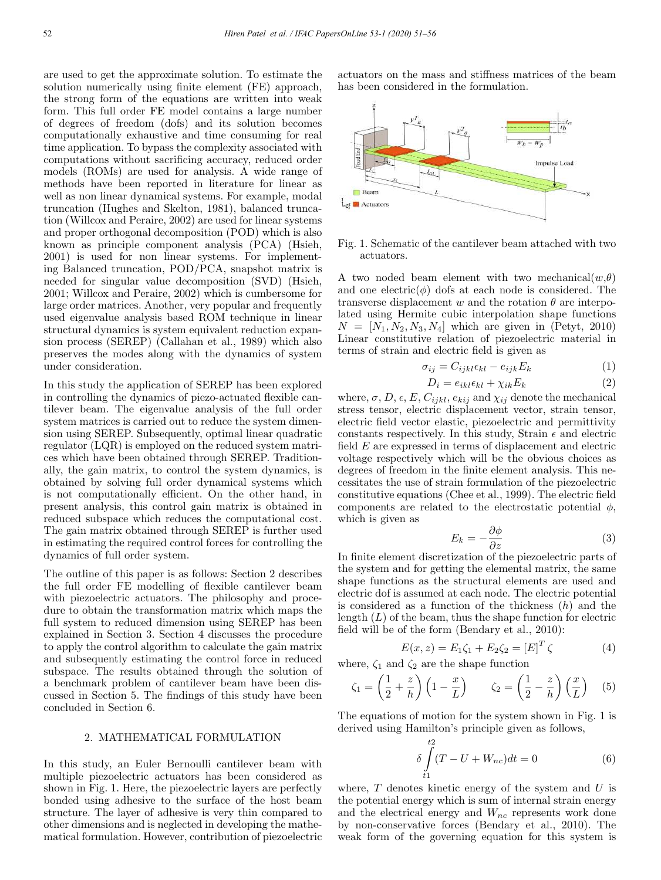are used to get the approximate solution. To estimate the solution numerically using finite element (FE) approach, the strong form of the equations are written into weak form. This full order FE model contains a large number of degrees of freedom (dofs) and its solution becomes computationally exhaustive and time consuming for real time application. To bypass the complexity associated with computations without sacrificing accuracy, reduced order models (ROMs) are used for analysis. A wide range of methods have been reported in literature for linear as well as non linear dynamical systems. For example, modal truncation (Hughes and Skelton, 1981), balanced truncation (Willcox and Peraire, 2002) are used for linear systems and proper orthogonal decomposition (POD) which is also known as principle component analysis (PCA) (Hsieh, 2001) is used for non linear systems. For implementing Balanced truncation, POD/PCA, snapshot matrix is needed for singular value decomposition (SVD) (Hsieh, 2001; Willcox and Peraire, 2002) which is cumbersome for large order matrices. Another, very popular and frequently used eigenvalue analysis based ROM technique in linear structural dynamics is system equivalent reduction expansion process (SEREP) (Callahan et al., 1989) which also preserves the modes along with the dynamics of system under consideration.

In this study the application of SEREP has been explored in controlling the dynamics of piezo-actuated flexible cantilever beam. The eigenvalue analysis of the full order system matrices is carried out to reduce the system dimension using SEREP. Subsequently, optimal linear quadratic regulator (LQR) is employed on the reduced system matrices which have been obtained through SEREP. Traditionally, the gain matrix, to control the system dynamics, is obtained by solving full order dynamical systems which is not computationally efficient. On the other hand, in present analysis, this control gain matrix is obtained in reduced subspace which reduces the computational cost. The gain matrix obtained through SEREP is further used in estimating the required control forces for controlling the dynamics of full order system.

The outline of this paper is as follows: Section 2 describes the full order FE modelling of flexible cantilever beam with piezoelectric actuators. The philosophy and procedure to obtain the transformation matrix which maps the full system to reduced dimension using SEREP has been explained in Section 3. Section 4 discusses the procedure to apply the control algorithm to calculate the gain matrix and subsequently estimating the control force in reduced subspace. The results obtained through the solution of a benchmark problem of cantilever beam have been discussed in Section 5. The findings of this study have been concluded in Section 6.

## 2. MATHEMATICAL FORMULATION

In this study, an Euler Bernoulli cantilever beam with multiple piezoelectric actuators has been considered as shown in Fig. 1. Here, the piezoelectric layers are perfectly bonded using adhesive to the surface of the host beam structure. The layer of adhesive is very thin compared to other dimensions and is neglected in developing the mathematical formulation. However, contribution of piezoelectric actuators on the mass and stiffness matrices of the beam has been considered in the formulation.



Fig. 1. Schematic of the cantilever beam attached with two actuators.

A two noded beam element with two mechanical $(w,\theta)$ and one electric( $\phi$ ) dofs at each node is considered. The transverse displacement w and the rotation  $\theta$  are interpolated using Hermite cubic interpolation shape functions  $N = [N_1, N_2, N_3, N_4]$  which are given in (Petyt, 2010) Linear constitutive relation of piezoelectric material in terms of strain and electric field is given as

$$
\sigma_{ij} = C_{ijkl} \epsilon_{kl} - e_{ijk} E_k \tag{1}
$$

$$
D_i = e_{ikl} \epsilon_{kl} + \chi_{ik} E_k \tag{2}
$$

where,  $\sigma$ ,  $D$ ,  $\epsilon$ ,  $E$ ,  $C_{ijkl}$ ,  $e_{kij}$  and  $\chi_{ij}$  denote the mechanical stress tensor, electric displacement vector, strain tensor, electric field vector elastic, piezoelectric and permittivity constants respectively. In this study, Strain  $\epsilon$  and electric field E are expressed in terms of displacement and electric voltage respectively which will be the obvious choices as degrees of freedom in the finite element analysis. This necessitates the use of strain formulation of the piezoelectric constitutive equations (Chee et al., 1999). The electric field components are related to the electrostatic potential  $\phi$ , which is given as

$$
E_k = -\frac{\partial \phi}{\partial z} \tag{3}
$$

In finite element discretization of the piezoelectric parts of the system and for getting the elemental matrix, the same shape functions as the structural elements are used and electric dof is assumed at each node. The electric potential is considered as a function of the thickness  $(h)$  and the length  $(L)$  of the beam, thus the shape function for electric field will be of the form (Bendary et al., 2010):

$$
E(x, z) = E_1 \zeta_1 + E_2 \zeta_2 = [E]^T \zeta \tag{4}
$$

where,  $\zeta_1$  and  $\zeta_2$  are the shape function

$$
\zeta_1 = \left(\frac{1}{2} + \frac{z}{h}\right)\left(1 - \frac{x}{L}\right) \qquad \zeta_2 = \left(\frac{1}{2} - \frac{z}{h}\right)\left(\frac{x}{L}\right) \quad (5)
$$

The equations of motion for the system shown in Fig. 1 is derived using Hamilton's principle given as follows,

$$
\delta \int_{t1}^{t2} (T - U + W_{nc}) dt = 0
$$
 (6)

where,  $T$  denotes kinetic energy of the system and  $U$  is the potential energy which is sum of internal strain energy and the electrical energy and  $W_{nc}$  represents work done by non-conservative forces (Bendary et al., 2010). The weak form of the governing equation for this system is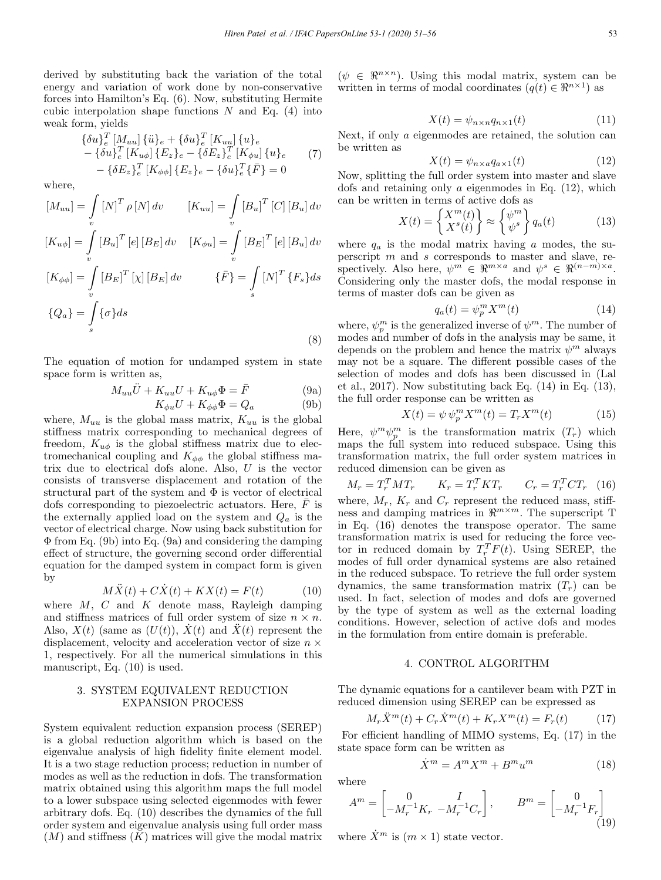derived by substituting back the variation of the total energy and variation of work done by non-conservative forces into Hamilton's Eq. (6). Now, substituting Hermite cubic interpolation shape functions  $N$  and Eq. (4) into weak form, yields

$$
\{\delta u\}_{e}^{T}[M_{uu}]\{\ddot{u}\}_{e} + \{\delta u\}_{e}^{T}[K_{uu}]\{u\}_{e} - \{\delta u\}_{e}^{T}[K_{u\phi}]\{E_{z}\}_{e} - \{\delta E_{z}\}_{e}^{T}[K_{\phi u}]\{u\}_{e} - \{\delta E_{z}\}_{e}^{T}[K_{\phi\phi}]\{E_{z}\}_{e} - \{\delta u\}_{e}^{T}\{\bar{F}\} = 0
$$
\n(7)

where,

$$
[M_{uu}] = \int_{v} [N]^T \rho [N] dv \qquad [K_{uu}] = \int_{v} [B_u]^T [C] [B_u] dv
$$
  
\n
$$
[K_{u\phi}] = \int_{v} [B_u]^T [e] [B_E] dv \qquad [K_{\phi u}] = \int_{v} [B_E]^T [e] [B_u] dv
$$
  
\n
$$
[K_{\phi\phi}] = \int_{v} [B_E]^T [\chi] [B_E] dv \qquad \{\bar{F}\} = \int_{s} [N]^T \{F_s\} ds
$$
  
\n
$$
\{Q_a\} = \int_{s} {\sigma} ds
$$
\n(8)

The equation of motion for undamped system in state space form is written as,

$$
M_{uu}\ddot{U} + K_{uu}U + K_{u\phi}\Phi = \bar{F}
$$
 (9a)

$$
K_{\phi u}U + K_{\phi\phi}\Phi = Q_a \tag{9b}
$$

where,  $M_{uu}$  is the global mass matrix,  $K_{uu}$  is the global stiffness matrix corresponding to mechanical degrees of freedom,  $K_{u\phi}$  is the global stiffness matrix due to electromechanical coupling and  $K_{\phi\phi}$  the global stiffness matrix due to electrical dofs alone. Also, U is the vector consists of transverse displacement and rotation of the structural part of the system and  $\Phi$  is vector of electrical dofs corresponding to piezoelectric actuators. Here,  $\bar{F}$  is the externally applied load on the system and  $Q_a$  is the vector of electrical charge. Now using back substitution for Φ from Eq. (9b) into Eq. (9a) and considering the damping effect of structure, the governing second order differential equation for the damped system in compact form is given by

$$
M\ddot{X}(t) + C\dot{X}(t) + KX(t) = F(t)
$$
\n(10)

where  $M, C$  and  $K$  denote mass, Rayleigh damping and stiffness matrices of full order system of size  $n \times n$ . Also,  $X(t)$  (same as  $(U(t))$ ,  $\dot{X}(t)$  and  $\ddot{X}(t)$  represent the displacement, velocity and acceleration vector of size  $n \times$ 1, respectively. For all the numerical simulations in this manuscript, Eq. (10) is used.

#### 3. SYSTEM EQUIVALENT REDUCTION EXPANSION PROCESS

System equivalent reduction expansion process (SEREP) is a global reduction algorithm which is based on the eigenvalue analysis of high fidelity finite element model. It is a two stage reduction process; reduction in number of modes as well as the reduction in dofs. The transformation matrix obtained using this algorithm maps the full model to a lower subspace using selected eigenmodes with fewer arbitrary dofs. Eq. (10) describes the dynamics of the full order system and eigenvalue analysis using full order mass  $(M)$  and stiffness  $(K)$  matrices will give the modal matrix  $(\psi \in \mathbb{R}^{n \times n})$ . Using this modal matrix, system can be written in terms of modal coordinates  $(q(t) \in \mathbb{R}^{n \times 1})$  as

$$
X(t) = \psi_{n \times n} q_{n \times 1}(t) \tag{11}
$$

Next, if only a eigenmodes are retained, the solution can be written as

$$
X(t) = \psi_{n \times a} q_{a \times 1}(t) \tag{12}
$$

Now, splitting the full order system into master and slave dofs and retaining only  $\alpha$  eigenmodes in Eq. (12), which can be written in terms of active dofs as

$$
X(t) = \left\{ \begin{aligned} X^m(t) \\ X^s(t) \end{aligned} \right\} \approx \left\{ \begin{aligned} \psi^m \\ \psi^s \end{aligned} \right\} q_a(t) \tag{13}
$$

where  $q_a$  is the modal matrix having a modes, the superscript m and s corresponds to master and slave, respectively. Also here,  $\psi^m \in \Re^{m \times a}$  and  $\psi^s \in \Re^{(n-m) \times a}$ . Considering only the master dofs, the modal response in terms of master dofs can be given as

$$
q_a(t) = \psi_p^m X^m(t) \tag{14}
$$

where,  $\psi_p^m$  is the generalized inverse of  $\psi^m$ . The number of modes and number of dofs in the analysis may be same, it depends on the problem and hence the matrix  $\psi^m$  always may not be a square. The different possible cases of the selection of modes and dofs has been discussed in (Lal et al., 2017). Now substituting back Eq.  $(14)$  in Eq.  $(13)$ , the full order response can be written as

$$
X(t) = \psi \psi_p^m X^m(t) = T_r X^m(t) \tag{15}
$$

Here,  $\psi^m \psi^m_{p}$  is the transformation matrix  $(T_r)$  which maps the full system into reduced subspace. Using this transformation matrix, the full order system matrices in reduced dimension can be given as

$$
M_r = T_r^T M T_r \qquad K_r = T_r^T K T_r \qquad C_r = T_r^T C T_r \quad (16)
$$

where,  $M_r$ ,  $K_r$  and  $C_r$  represent the reduced mass, stiffness and damping matrices in  $\mathbb{R}^{m \times m}$ . The superscript T in Eq. (16) denotes the transpose operator. The same transformation matrix is used for reducing the force vector in reduced domain by  $T_r^T F(t)$ . Using SEREP, the modes of full order dynamical systems are also retained in the reduced subspace. To retrieve the full order system dynamics, the same transformation matrix  $(T_r)$  can be used. In fact, selection of modes and dofs are governed by the type of system as well as the external loading conditions. However, selection of active dofs and modes in the formulation from entire domain is preferable.

#### 4. CONTROL ALGORITHM

The dynamic equations for a cantilever beam with PZT in reduced dimension using SEREP can be expressed as

$$
M_r \ddot{X}^m(t) + C_r \dot{X}^m(t) + K_r X^m(t) = F_r(t) \tag{17}
$$

For efficient handling of MIMO systems, Eq. (17) in the state space form can be written as

$$
\dot{X}^m = A^m X^m + B^m u^m \tag{18}
$$

where

$$
A^{m} = \begin{bmatrix} 0 & I \\ -M_r^{-1}K_r & -M_r^{-1}C_r \end{bmatrix}, \qquad B^{m} = \begin{bmatrix} 0 \\ -M_r^{-1}F_r \end{bmatrix}
$$
(19)

where  $\dot{X}^m$  is  $(m \times 1)$  state vector.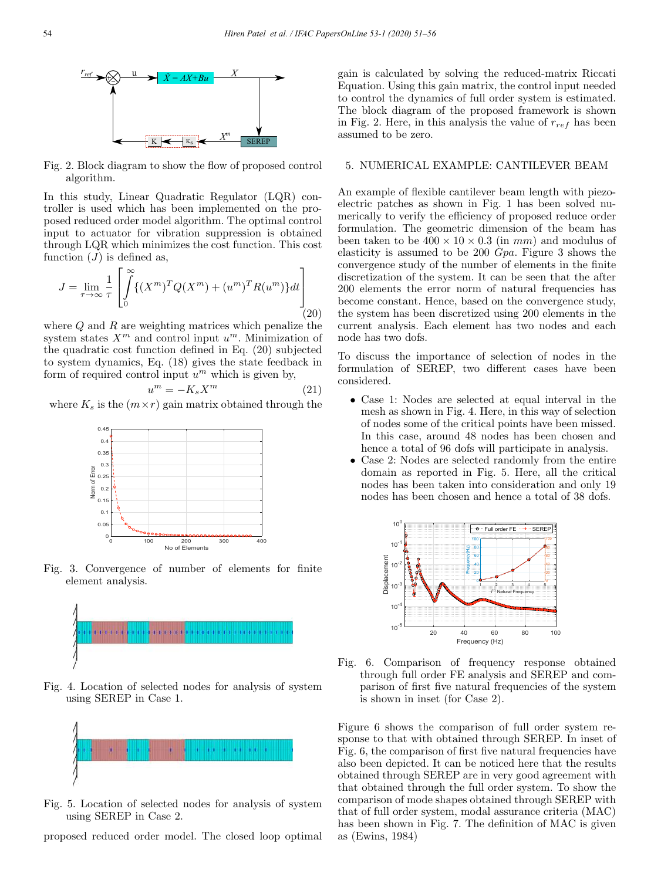

Fig. 2. Block diagram to show the flow of proposed control algorithm.

In this study, Linear Quadratic Regulator (LQR) controller is used which has been implemented on the proposed reduced order model algorithm. The optimal control input to actuator for vibration suppression is obtained through LQR which minimizes the cost function. This cost function  $(J)$  is defined as,

$$
J = \lim_{\tau \to \infty} \frac{1}{\tau} \left[ \int_{0}^{\infty} \{ (X^m)^T Q (X^m) + (u^m)^T R (u^m) \} dt \right] \tag{20}
$$

where  $Q$  and  $R$  are weighting matrices which penalize the system states  $X^m$  and control input  $u^m$ . Minimization of the quadratic cost function defined in Eq. (20) subjected to system dynamics, Eq. (18) gives the state feedback in form of required control input  $u^m$  which is given by,

$$
u^m = -K_s X^m \tag{21}
$$

where  $K_s$  is the  $(m \times r)$  gain matrix obtained through the



Fig. 3. Convergence of number of elements for finite element analysis.



Fig. 4. Location of selected nodes for analysis of system using SEREP in Case 1.



Fig. 5. Location of selected nodes for analysis of system using SEREP in Case 2.

proposed reduced order model. The closed loop optimal

gain is calculated by solving the reduced-matrix Riccati Equation. Using this gain matrix, the control input needed to control the dynamics of full order system is estimated. The block diagram of the proposed framework is shown in Fig. 2. Here, in this analysis the value of  $r_{ref}$  has been assumed to be zero.

#### 5. NUMERICAL EXAMPLE: CANTILEVER BEAM

An example of flexible cantilever beam length with piezoelectric patches as shown in Fig. 1 has been solved numerically to verify the efficiency of proposed reduce order formulation. The geometric dimension of the beam has been taken to be  $400 \times 10 \times 0.3$  (in mm) and modulus of elasticity is assumed to be 200 Gpa. Figure 3 shows the convergence study of the number of elements in the finite discretization of the system. It can be seen that the after 200 elements the error norm of natural frequencies has become constant. Hence, based on the convergence study, the system has been discretized using 200 elements in the current analysis. Each element has two nodes and each node has two dofs.

To discuss the importance of selection of nodes in the formulation of SEREP, two different cases have been considered.

- Case 1: Nodes are selected at equal interval in the mesh as shown in Fig. 4. Here, in this way of selection of nodes some of the critical points have been missed. In this case, around 48 nodes has been chosen and hence a total of 96 dofs will participate in analysis.
- Case 2: Nodes are selected randomly from the entire domain as reported in Fig. 5. Here, all the critical nodes has been taken into consideration and only 19 nodes has been chosen and hence a total of 38 dofs.





Figure 6 shows the comparison of full order system response to that with obtained through SEREP. In inset of Fig. 6, the comparison of first five natural frequencies have also been depicted. It can be noticed here that the results obtained through SEREP are in very good agreement with that obtained through the full order system. To show the comparison of mode shapes obtained through SEREP with that of full order system, modal assurance criteria (MAC) has been shown in Fig. 7. The definition of MAC is given as (Ewins, 1984)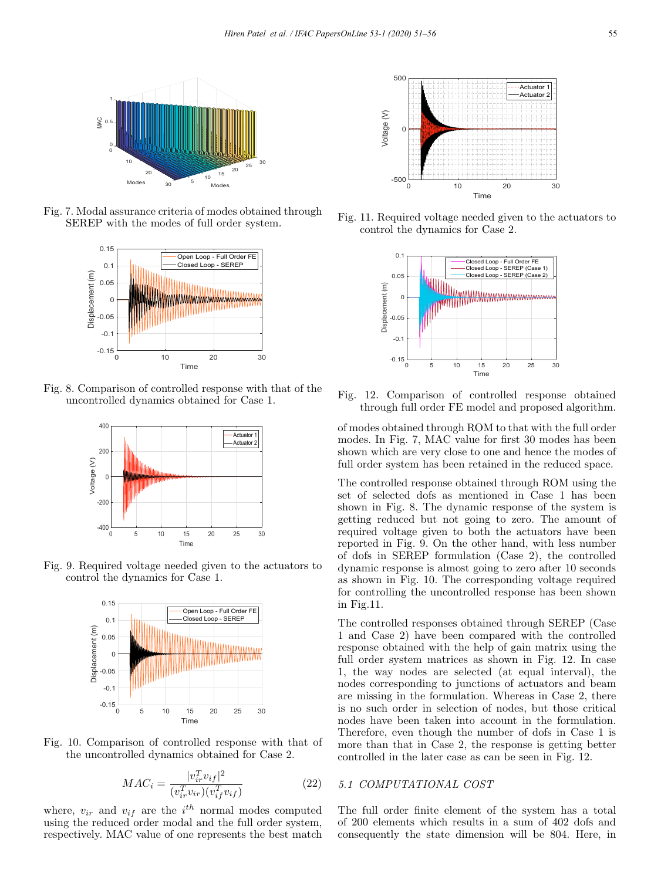

Fig. 7. Modal assurance criteria of modes obtained through SEREP with the modes of full order system.



Fig. 8. Comparison of controlled response with that of the uncontrolled dynamics obtained for Case 1.



Fig. 9. Required voltage needed given to the actuators to control the dynamics for Case 1.



Fig. 10. Comparison of controlled response with that of the uncontrolled dynamics obtained for Case 2.

$$
MAC_i = \frac{|v_{ir}^T v_{if}|^2}{(v_{ir}^T v_{ir})(v_{if}^T v_{if})}
$$
\n(22)

where,  $v_{ir}$  and  $v_{if}$  are the  $i^{th}$  normal modes computed using the reduced order modal and the full order system, respectively. MAC value of one represents the best match



Fig. 11. Required voltage needed given to the actuators to control the dynamics for Case 2.



Fig. 12. Comparison of controlled response obtained through full order FE model and proposed algorithm.

of modes obtained through ROM to that with the full order modes. In Fig. 7, MAC value for first 30 modes has been shown which are very close to one and hence the modes of full order system has been retained in the reduced space.

The controlled response obtained through ROM using the set of selected dofs as mentioned in Case 1 has been shown in Fig. 8. The dynamic response of the system is getting reduced but not going to zero. The amount of required voltage given to both the actuators have been reported in Fig. 9. On the other hand, with less number of dofs in SEREP formulation (Case 2), the controlled dynamic response is almost going to zero after 10 seconds as shown in Fig. 10. The corresponding voltage required for controlling the uncontrolled response has been shown in Fig.11.

The controlled responses obtained through SEREP (Case 1 and Case 2) have been compared with the controlled response obtained with the help of gain matrix using the full order system matrices as shown in Fig. 12. In case 1, the way nodes are selected (at equal interval), the nodes corresponding to junctions of actuators and beam are missing in the formulation. Whereas in Case 2, there is no such order in selection of nodes, but those critical nodes have been taken into account in the formulation. Therefore, even though the number of dofs in Case 1 is more than that in Case 2, the response is getting better controlled in the later case as can be seen in Fig. 12.

## 5.1 COMPUTATIONAL COST

The full order finite element of the system has a total of 200 elements which results in a sum of 402 dofs and consequently the state dimension will be 804. Here, in